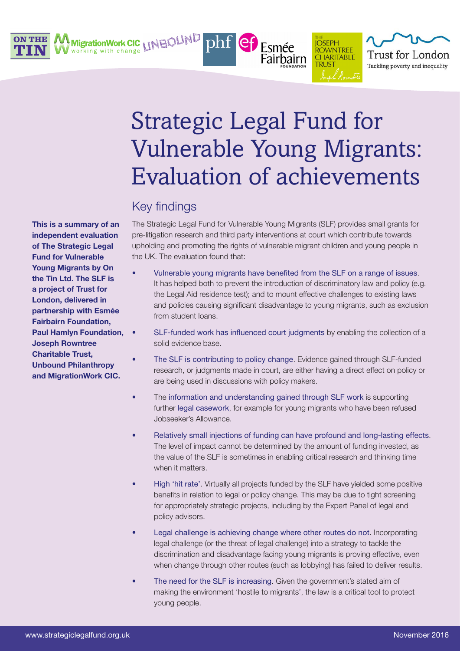

MigrationWork CIC LINEQUND working with change



Esmée

Fairbairn

**ROWNTREE** 

**CHARITABLE** 

**TRI IST** 

Trust for London

Tackling poverty and inequality

 $phf$   $ef$ 

## Key findings

The Strategic Legal Fund for Vulnerable Young Migrants (SLF) provides small grants for pre-litigation research and third party interventions at court which contribute towards upholding and promoting the rights of vulnerable migrant children and young people in the UK. The evaluation found that:

- Vulnerable young migrants have benefited from the SLF on a range of issues. It has helped both to prevent the introduction of discriminatory law and policy (e.g. the Legal Aid residence test); and to mount effective challenges to existing laws and policies causing significant disadvantage to young migrants, such as exclusion from student loans.
	- SLF-funded work has influenced court judgments by enabling the collection of a solid evidence base.
- The SLF is contributing to policy change. Evidence gained through SLF-funded research, or judgments made in court, are either having a direct effect on policy or are being used in discussions with policy makers.
- The information and understanding gained through SLF work is supporting further legal casework, for example for young migrants who have been refused Jobseeker's Allowance.
- Relatively small injections of funding can have profound and long-lasting effects. The level of impact cannot be determined by the amount of funding invested, as the value of the SLF is sometimes in enabling critical research and thinking time when it matters.
- High 'hit rate'. Virtually all projects funded by the SLF have yielded some positive benefits in relation to legal or policy change. This may be due to tight screening for appropriately strategic projects, including by the Expert Panel of legal and policy advisors.
- Legal challenge is achieving change where other routes do not. Incorporating legal challenge (or the threat of legal challenge) into a strategy to tackle the discrimination and disadvantage facing young migrants is proving effective, even when change through other routes (such as lobbying) has failed to deliver results.
- The need for the SLF is increasing. Given the government's stated aim of making the environment 'hostile to migrants', the law is a critical tool to protect young people.

This is a summary of an independent evaluation of The Strategic Legal Fund for Vulnerable Young Migrants by On the Tin Ltd. The SLF is a project of Trust for London, delivered in partnership with Esmée Fairbairn Foundation, Paul Hamlyn Foundation, Joseph Rowntree Charitable Trust, Unbound Philanthropy and MigrationWork CIC.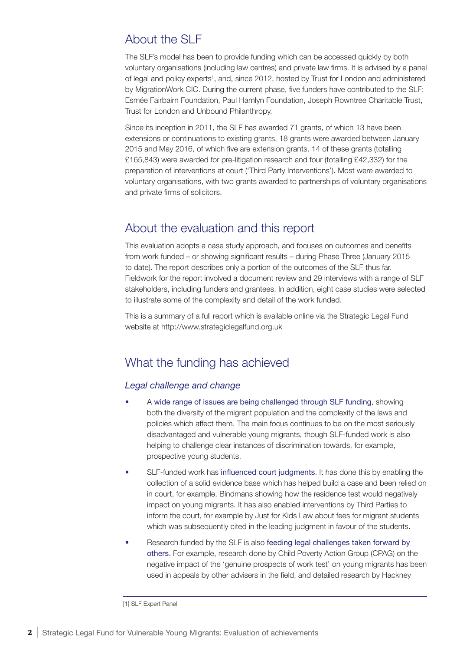# About the SLF

The SLF's model has been to provide funding which can be accessed quickly by both voluntary organisations (including law centres) and private law firms. It is advised by a panel of legal and policy experts<sup>1</sup>, and, since 2012, hosted by Trust for London and administered by MigrationWork CIC. During the current phase, five funders have contributed to the SLF: Esmée Fairbairn Foundation, Paul Hamlyn Foundation, Joseph Rowntree Charitable Trust, Trust for London and Unbound Philanthropy.

Since its inception in 2011, the SLF has awarded 71 grants, of which 13 have been extensions or continuations to existing grants. 18 grants were awarded between January 2015 and May 2016, of which five are extension grants. 14 of these grants (totalling £165,843) were awarded for pre-litigation research and four (totalling £42,332) for the preparation of interventions at court ('Third Party Interventions'). Most were awarded to voluntary organisations, with two grants awarded to partnerships of voluntary organisations and private firms of solicitors.

## About the evaluation and this report

This evaluation adopts a case study approach, and focuses on outcomes and benefits from work funded – or showing significant results – during Phase Three (January 2015 to date). The report describes only a portion of the outcomes of the SLF thus far. Fieldwork for the report involved a document review and 29 interviews with a range of SLF stakeholders, including funders and grantees. In addition, eight case studies were selected to illustrate some of the complexity and detail of the work funded.

This is a summary of a full report which is available online via the Strategic Legal Fund website at http://www.strategiclegalfund.org.uk

## What the funding has achieved

### *Legal challenge and change*

- A wide range of issues are being challenged through SLF funding, showing both the diversity of the migrant population and the complexity of the laws and policies which affect them. The main focus continues to be on the most seriously disadvantaged and vulnerable young migrants, though SLF-funded work is also helping to challenge clear instances of discrimination towards, for example, prospective young students.
- SLF-funded work has influenced court judgments. It has done this by enabling the collection of a solid evidence base which has helped build a case and been relied on in court, for example, Bindmans showing how the residence test would negatively impact on young migrants. It has also enabled interventions by Third Parties to inform the court, for example by Just for Kids Law about fees for migrant students which was subsequently cited in the leading judgment in favour of the students.
- Research funded by the SLF is also feeding legal challenges taken forward by others. For example, research done by Child Poverty Action Group (CPAG) on the negative impact of the 'genuine prospects of work test' on young migrants has been used in appeals by other advisers in the field, and detailed research by Hackney

<sup>[1]</sup> SLF Expert Panel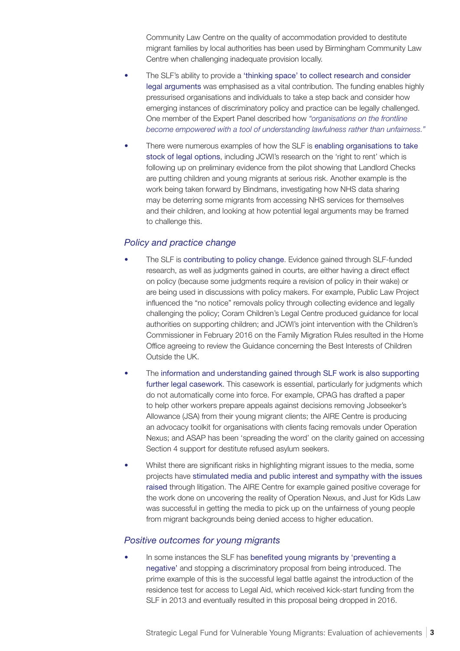Community Law Centre on the quality of accommodation provided to destitute migrant families by local authorities has been used by Birmingham Community Law Centre when challenging inadequate provision locally.

- The SLF's ability to provide a 'thinking space' to collect research and consider legal arguments was emphasised as a vital contribution. The funding enables highly pressurised organisations and individuals to take a step back and consider how emerging instances of discriminatory policy and practice can be legally challenged. One member of the Expert Panel described how *"organisations on the frontline become empowered with a tool of understanding lawfulness rather than unfairness."*
- There were numerous examples of how the SLF is enabling organisations to take stock of legal options, including JCWI's research on the 'right to rent' which is following up on preliminary evidence from the pilot showing that Landlord Checks are putting children and young migrants at serious risk. Another example is the work being taken forward by Bindmans, investigating how NHS data sharing may be deterring some migrants from accessing NHS services for themselves and their children, and looking at how potential legal arguments may be framed to challenge this.

### *Policy and practice change*

- The SLF is contributing to policy change. Evidence gained through SLF-funded research, as well as judgments gained in courts, are either having a direct effect on policy (because some judgments require a revision of policy in their wake) or are being used in discussions with policy makers. For example, Public Law Project influenced the "no notice" removals policy through collecting evidence and legally challenging the policy; Coram Children's Legal Centre produced guidance for local authorities on supporting children; and JCWI's joint intervention with the Children's Commissioner in February 2016 on the Family Migration Rules resulted in the Home Office agreeing to review the Guidance concerning the Best Interests of Children Outside the UK.
- The information and understanding gained through SLF work is also supporting further legal casework. This casework is essential, particularly for judgments which do not automatically come into force. For example, CPAG has drafted a paper to help other workers prepare appeals against decisions removing Jobseeker's Allowance (JSA) from their young migrant clients; the AIRE Centre is producing an advocacy toolkit for organisations with clients facing removals under Operation Nexus; and ASAP has been 'spreading the word' on the clarity gained on accessing Section 4 support for destitute refused asylum seekers.
- Whilst there are significant risks in highlighting migrant issues to the media, some projects have stimulated media and public interest and sympathy with the issues raised through litigation. The AIRE Centre for example gained positive coverage for the work done on uncovering the reality of Operation Nexus, and Just for Kids Law was successful in getting the media to pick up on the unfairness of young people from migrant backgrounds being denied access to higher education.

#### *Positive outcomes for young migrants*

• In some instances the SLF has benefited young migrants by 'preventing a negative' and stopping a discriminatory proposal from being introduced. The prime example of this is the successful legal battle against the introduction of the residence test for access to Legal Aid, which received kick-start funding from the SLF in 2013 and eventually resulted in this proposal being dropped in 2016.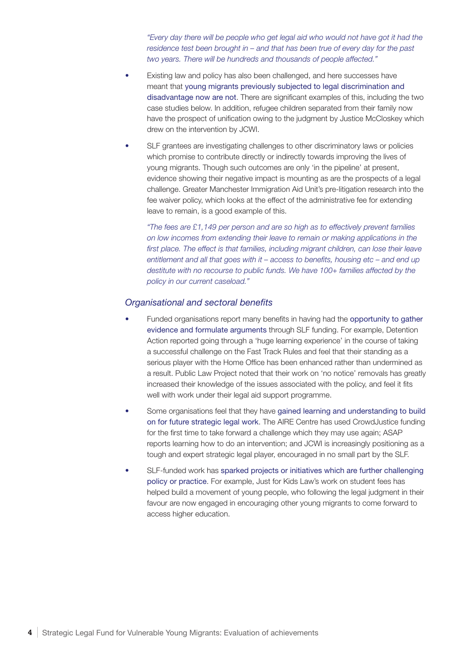"Every day there will be people who get legal aid who would not have got it had the *residence test been brought in – and that has been true of every day for the past two years. There will be hundreds and thousands of people affected."*

- Existing law and policy has also been challenged, and here successes have meant that young migrants previously subjected to legal discrimination and disadvantage now are not. There are significant examples of this, including the two case studies below. In addition, refugee children separated from their family now have the prospect of unification owing to the judgment by Justice McCloskey which drew on the intervention by JCWI.
- SLF grantees are investigating challenges to other discriminatory laws or policies which promise to contribute directly or indirectly towards improving the lives of young migrants. Though such outcomes are only 'in the pipeline' at present, evidence showing their negative impact is mounting as are the prospects of a legal challenge. Greater Manchester Immigration Aid Unit's pre-litigation research into the fee waiver policy, which looks at the effect of the administrative fee for extending leave to remain, is a good example of this.

*"The fees are £1,149 per person and are so high as to effectively prevent families on low incomes from extending their leave to remain or making applications in the*  first place. The effect is that families, including migrant children, can lose their leave *entitlement and all that goes with it – access to benefits, housing etc – and end up destitute with no recourse to public funds. We have 100+ families affected by the policy in our current caseload."*

#### *Organisational and sectoral benefits*

- Funded organisations report many benefits in having had the opportunity to gather evidence and formulate arguments through SLF funding. For example, Detention Action reported going through a 'huge learning experience' in the course of taking a successful challenge on the Fast Track Rules and feel that their standing as a serious player with the Home Office has been enhanced rather than undermined as a result. Public Law Project noted that their work on 'no notice' removals has greatly increased their knowledge of the issues associated with the policy, and feel it fits well with work under their legal aid support programme.
- Some organisations feel that they have gained learning and understanding to build on for future strategic legal work. The AIRE Centre has used CrowdJustice funding for the first time to take forward a challenge which they may use again; ASAP reports learning how to do an intervention; and JCWI is increasingly positioning as a tough and expert strategic legal player, encouraged in no small part by the SLF.
- SLF-funded work has sparked projects or initiatives which are further challenging policy or practice. For example, Just for Kids Law's work on student fees has helped build a movement of young people, who following the legal judgment in their favour are now engaged in encouraging other young migrants to come forward to access higher education.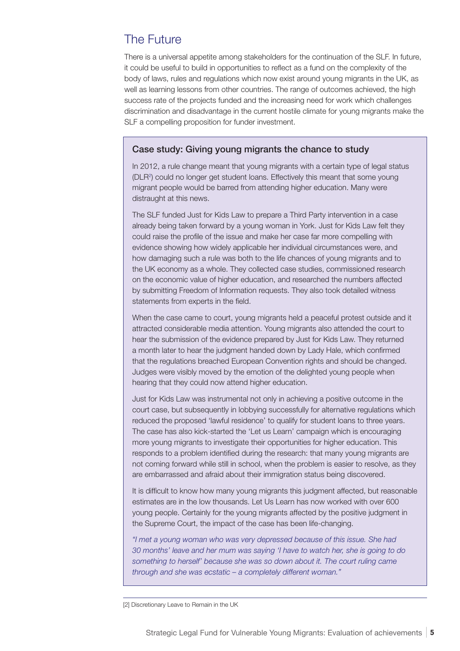## The Future

There is a universal appetite among stakeholders for the continuation of the SLF. In future, it could be useful to build in opportunities to reflect as a fund on the complexity of the body of laws, rules and regulations which now exist around young migrants in the UK, as well as learning lessons from other countries. The range of outcomes achieved, the high success rate of the projects funded and the increasing need for work which challenges discrimination and disadvantage in the current hostile climate for young migrants make the SLF a compelling proposition for funder investment.

### Case study: Giving young migrants the chance to study

In 2012, a rule change meant that young migrants with a certain type of legal status (DLR2 ) could no longer get student loans. Effectively this meant that some young migrant people would be barred from attending higher education. Many were distraught at this news.

The SLF funded Just for Kids Law to prepare a Third Party intervention in a case already being taken forward by a young woman in York. Just for Kids Law felt they could raise the profile of the issue and make her case far more compelling with evidence showing how widely applicable her individual circumstances were, and how damaging such a rule was both to the life chances of young migrants and to the UK economy as a whole. They collected case studies, commissioned research on the economic value of higher education, and researched the numbers affected by submitting Freedom of Information requests. They also took detailed witness statements from experts in the field.

When the case came to court, young migrants held a peaceful protest outside and it attracted considerable media attention. Young migrants also attended the court to hear the submission of the evidence prepared by Just for Kids Law. They returned a month later to hear the judgment handed down by Lady Hale, which confirmed that the regulations breached European Convention rights and should be changed. Judges were visibly moved by the emotion of the delighted young people when hearing that they could now attend higher education.

Just for Kids Law was instrumental not only in achieving a positive outcome in the court case, but subsequently in lobbying successfully for alternative regulations which reduced the proposed 'lawful residence' to qualify for student loans to three years. The case has also kick-started the 'Let us Learn' campaign which is encouraging more young migrants to investigate their opportunities for higher education. This responds to a problem identified during the research: that many young migrants are not coming forward while still in school, when the problem is easier to resolve, as they are embarrassed and afraid about their immigration status being discovered.

It is difficult to know how many young migrants this judgment affected, but reasonable estimates are in the low thousands. Let Us Learn has now worked with over 600 young people. Certainly for the young migrants affected by the positive judgment in the Supreme Court, the impact of the case has been life-changing.

*"I met a young woman who was very depressed because of this issue. She had 30 months' leave and her mum was saying 'I have to watch her, she is going to do something to herself' because she was so down about it. The court ruling came through and she was ecstatic – a completely different woman."* 

<sup>[2]</sup> Discretionary Leave to Remain in the UK